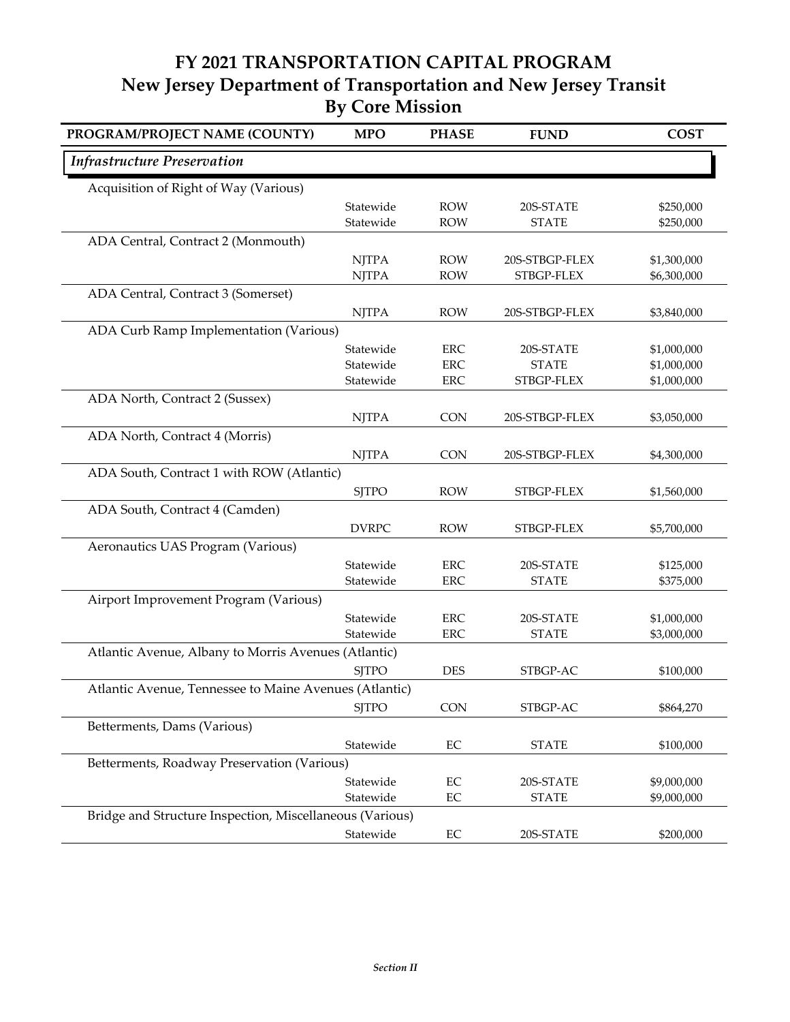## **FY 2021 TRANSPORTATION CAPITAL PROGRAM New Jersey Department of Transportation and New Jersey Transit By Core Mission**

| PROGRAM/PROJECT NAME (COUNTY)                            | <b>MPO</b>             | <b>PHASE</b> | <b>FUND</b>    | <b>COST</b> |
|----------------------------------------------------------|------------------------|--------------|----------------|-------------|
| <b>Infrastructure Preservation</b>                       |                        |              |                |             |
| Acquisition of Right of Way (Various)                    |                        |              |                |             |
|                                                          | Statewide              | <b>ROW</b>   | 20S-STATE      | \$250,000   |
|                                                          | Statewide              | <b>ROW</b>   | <b>STATE</b>   | \$250,000   |
| ADA Central, Contract 2 (Monmouth)                       |                        |              |                |             |
|                                                          | <b>NJTPA</b>           | <b>ROW</b>   | 20S-STBGP-FLEX | \$1,300,000 |
|                                                          | <b>NJTPA</b>           | <b>ROW</b>   | STBGP-FLEX     | \$6,300,000 |
| ADA Central, Contract 3 (Somerset)                       |                        |              |                |             |
|                                                          | <b>NJTPA</b>           | <b>ROW</b>   | 20S-STBGP-FLEX | \$3,840,000 |
| ADA Curb Ramp Implementation (Various)                   |                        |              |                |             |
|                                                          | Statewide              | <b>ERC</b>   | 20S-STATE      | \$1,000,000 |
|                                                          | Statewide              | <b>ERC</b>   | <b>STATE</b>   | \$1,000,000 |
|                                                          | Statewide              | <b>ERC</b>   | STBGP-FLEX     | \$1,000,000 |
| ADA North, Contract 2 (Sussex)                           |                        |              |                |             |
|                                                          | <b>NJTPA</b>           | <b>CON</b>   | 20S-STBGP-FLEX | \$3,050,000 |
| ADA North, Contract 4 (Morris)                           |                        |              |                |             |
|                                                          | <b>NJTPA</b>           | <b>CON</b>   | 20S-STBGP-FLEX | \$4,300,000 |
| ADA South, Contract 1 with ROW (Atlantic)                |                        |              |                |             |
|                                                          | <b>SJTPO</b>           | <b>ROW</b>   | STBGP-FLEX     | \$1,560,000 |
| ADA South, Contract 4 (Camden)                           |                        |              |                |             |
|                                                          | <b>DVRPC</b>           | <b>ROW</b>   | STBGP-FLEX     | \$5,700,000 |
| Aeronautics UAS Program (Various)                        |                        |              |                |             |
|                                                          | Statewide              | <b>ERC</b>   | 20S-STATE      | \$125,000   |
|                                                          | Statewide              | <b>ERC</b>   | <b>STATE</b>   | \$375,000   |
| Airport Improvement Program (Various)                    |                        |              |                |             |
|                                                          | Statewide              | <b>ERC</b>   | 20S-STATE      | \$1,000,000 |
|                                                          | Statewide              | <b>ERC</b>   | <b>STATE</b>   | \$3,000,000 |
| Atlantic Avenue, Albany to Morris Avenues (Atlantic)     |                        |              |                |             |
|                                                          | <b>SJTPO</b>           | <b>DES</b>   | STBGP-AC       | \$100,000   |
| Atlantic Avenue, Tennessee to Maine Avenues (Atlantic)   |                        |              |                |             |
|                                                          | <b>SJTPO</b>           | <b>CON</b>   | STBGP-AC       | \$864,270   |
| Betterments, Dams (Various)                              |                        |              |                |             |
|                                                          | Statewide              |              |                |             |
|                                                          |                        | $\rm EC$     | <b>STATE</b>   | \$100,000   |
| Betterments, Roadway Preservation (Various)              |                        |              |                |             |
|                                                          | Statewide<br>Statewide | $\rm EC$     | 20S-STATE      | \$9,000,000 |
|                                                          |                        | $\rm EC$     | <b>STATE</b>   | \$9,000,000 |
| Bridge and Structure Inspection, Miscellaneous (Various) |                        |              |                |             |
|                                                          | Statewide              | $\rm EC$     | 20S-STATE      | \$200,000   |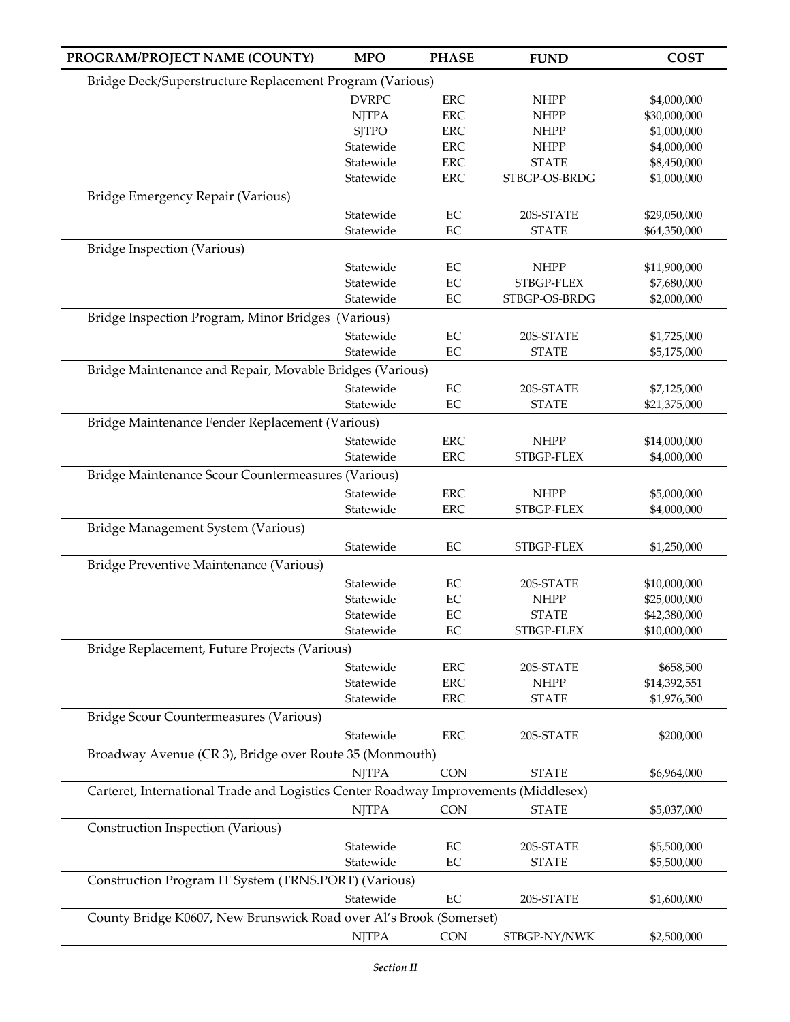| PROGRAM/PROJECT NAME (COUNTY)                                                       | <b>MPO</b>                                               | <b>PHASE</b> | <b>FUND</b>   | <b>COST</b>  |  |  |
|-------------------------------------------------------------------------------------|----------------------------------------------------------|--------------|---------------|--------------|--|--|
|                                                                                     | Bridge Deck/Superstructure Replacement Program (Various) |              |               |              |  |  |
|                                                                                     | <b>DVRPC</b>                                             | <b>ERC</b>   | <b>NHPP</b>   | \$4,000,000  |  |  |
|                                                                                     | <b>NJTPA</b>                                             | <b>ERC</b>   | <b>NHPP</b>   | \$30,000,000 |  |  |
|                                                                                     | <b>SJTPO</b>                                             | <b>ERC</b>   | <b>NHPP</b>   | \$1,000,000  |  |  |
|                                                                                     | Statewide                                                | <b>ERC</b>   | <b>NHPP</b>   | \$4,000,000  |  |  |
|                                                                                     | Statewide                                                | <b>ERC</b>   | <b>STATE</b>  | \$8,450,000  |  |  |
|                                                                                     | Statewide                                                | ERC          | STBGP-OS-BRDG | \$1,000,000  |  |  |
| Bridge Emergency Repair (Various)                                                   |                                                          |              |               |              |  |  |
|                                                                                     | Statewide                                                | EC           | 20S-STATE     | \$29,050,000 |  |  |
|                                                                                     | Statewide                                                | EC           | <b>STATE</b>  | \$64,350,000 |  |  |
| Bridge Inspection (Various)                                                         |                                                          |              |               |              |  |  |
|                                                                                     | Statewide                                                | $\rm EC$     | <b>NHPP</b>   | \$11,900,000 |  |  |
|                                                                                     | Statewide                                                | EC           | STBGP-FLEX    | \$7,680,000  |  |  |
|                                                                                     | Statewide                                                | EC           | STBGP-OS-BRDG | \$2,000,000  |  |  |
| Bridge Inspection Program, Minor Bridges (Various)                                  |                                                          |              |               |              |  |  |
|                                                                                     | Statewide                                                | EC           | 20S-STATE     | \$1,725,000  |  |  |
|                                                                                     | Statewide                                                | $\rm EC$     | <b>STATE</b>  | \$5,175,000  |  |  |
| Bridge Maintenance and Repair, Movable Bridges (Various)                            |                                                          |              |               |              |  |  |
|                                                                                     | Statewide                                                | EC           | 20S-STATE     | \$7,125,000  |  |  |
|                                                                                     | Statewide                                                | $\rm EC$     | <b>STATE</b>  | \$21,375,000 |  |  |
| Bridge Maintenance Fender Replacement (Various)                                     |                                                          |              |               |              |  |  |
|                                                                                     | Statewide                                                | <b>ERC</b>   | <b>NHPP</b>   | \$14,000,000 |  |  |
|                                                                                     | Statewide                                                | <b>ERC</b>   | STBGP-FLEX    | \$4,000,000  |  |  |
| Bridge Maintenance Scour Countermeasures (Various)                                  |                                                          |              |               |              |  |  |
|                                                                                     | Statewide                                                | <b>ERC</b>   | <b>NHPP</b>   | \$5,000,000  |  |  |
|                                                                                     | Statewide                                                | <b>ERC</b>   | STBGP-FLEX    | \$4,000,000  |  |  |
| Bridge Management System (Various)                                                  |                                                          |              |               |              |  |  |
|                                                                                     | Statewide                                                | $\rm EC$     | STBGP-FLEX    | \$1,250,000  |  |  |
| Bridge Preventive Maintenance (Various)                                             |                                                          |              |               |              |  |  |
|                                                                                     | Statewide                                                | EC           | 20S-STATE     | \$10,000,000 |  |  |
|                                                                                     | Statewide                                                | $\rm EC$     | <b>NHPP</b>   | \$25,000,000 |  |  |
|                                                                                     | Statewide                                                | EC           | <b>STATE</b>  | \$42,380,000 |  |  |
|                                                                                     | Statewide                                                | $\rm EC$     | STBGP-FLEX    | \$10,000,000 |  |  |
| Bridge Replacement, Future Projects (Various)                                       |                                                          |              |               |              |  |  |
|                                                                                     | Statewide                                                | <b>ERC</b>   | 20S-STATE     | \$658,500    |  |  |
|                                                                                     | Statewide                                                | <b>ERC</b>   | <b>NHPP</b>   | \$14,392,551 |  |  |
|                                                                                     | Statewide                                                | <b>ERC</b>   | <b>STATE</b>  | \$1,976,500  |  |  |
| Bridge Scour Countermeasures (Various)                                              |                                                          |              |               |              |  |  |
|                                                                                     | Statewide                                                | ERC          | 20S-STATE     | \$200,000    |  |  |
| Broadway Avenue (CR 3), Bridge over Route 35 (Monmouth)                             |                                                          |              |               |              |  |  |
|                                                                                     | <b>NJTPA</b>                                             | <b>CON</b>   | <b>STATE</b>  | \$6,964,000  |  |  |
| Carteret, International Trade and Logistics Center Roadway Improvements (Middlesex) |                                                          |              |               |              |  |  |
|                                                                                     | <b>NJTPA</b>                                             | <b>CON</b>   | <b>STATE</b>  | \$5,037,000  |  |  |
| Construction Inspection (Various)                                                   |                                                          |              |               |              |  |  |
|                                                                                     | Statewide                                                | EC           | 20S-STATE     | \$5,500,000  |  |  |
|                                                                                     | Statewide                                                | $\rm EC$     | <b>STATE</b>  | \$5,500,000  |  |  |
| Construction Program IT System (TRNS.PORT) (Various)                                |                                                          |              |               |              |  |  |
|                                                                                     | Statewide                                                | EC           | 20S-STATE     | \$1,600,000  |  |  |
| County Bridge K0607, New Brunswick Road over Al's Brook (Somerset)                  |                                                          |              |               |              |  |  |
|                                                                                     |                                                          |              |               |              |  |  |
|                                                                                     | <b>NJTPA</b>                                             | CON          | STBGP-NY/NWK  | \$2,500,000  |  |  |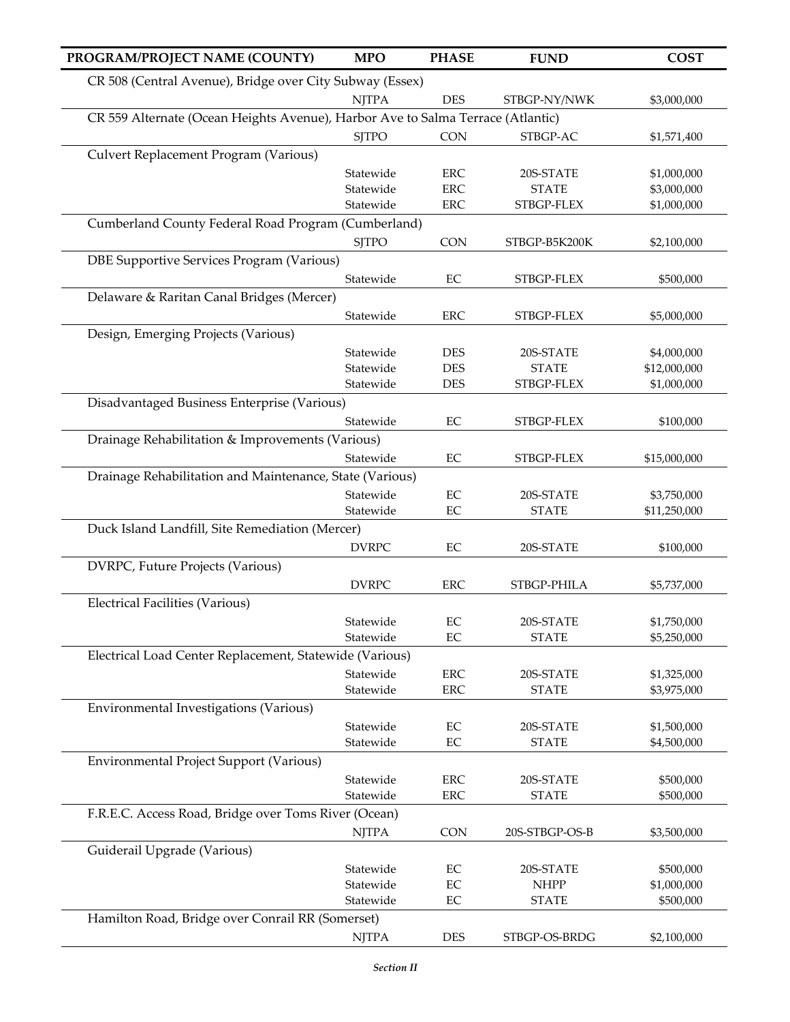| PROGRAM/PROJECT NAME (COUNTY)                                                   | <b>MPO</b>   | <b>PHASE</b> | <b>FUND</b>    | <b>COST</b>  |
|---------------------------------------------------------------------------------|--------------|--------------|----------------|--------------|
| CR 508 (Central Avenue), Bridge over City Subway (Essex)                        |              |              |                |              |
|                                                                                 | <b>NJTPA</b> | <b>DES</b>   | STBGP-NY/NWK   | \$3,000,000  |
| CR 559 Alternate (Ocean Heights Avenue), Harbor Ave to Salma Terrace (Atlantic) |              |              |                |              |
|                                                                                 | <b>SJTPO</b> | <b>CON</b>   | STBGP-AC       | \$1,571,400  |
| Culvert Replacement Program (Various)                                           |              |              |                |              |
|                                                                                 | Statewide    | ${\rm ERC}$  | 20S-STATE      | \$1,000,000  |
|                                                                                 | Statewide    | <b>ERC</b>   | <b>STATE</b>   | \$3,000,000  |
|                                                                                 | Statewide    | ${\rm ERC}$  | STBGP-FLEX     | \$1,000,000  |
| Cumberland County Federal Road Program (Cumberland)                             |              |              |                |              |
|                                                                                 | <b>SJTPO</b> | <b>CON</b>   | STBGP-B5K200K  | \$2,100,000  |
| DBE Supportive Services Program (Various)                                       |              |              |                |              |
|                                                                                 | Statewide    | EC           | STBGP-FLEX     | \$500,000    |
| Delaware & Raritan Canal Bridges (Mercer)                                       |              |              |                |              |
|                                                                                 | Statewide    | <b>ERC</b>   | STBGP-FLEX     | \$5,000,000  |
| Design, Emerging Projects (Various)                                             |              |              |                |              |
|                                                                                 | Statewide    | <b>DES</b>   | 20S-STATE      | \$4,000,000  |
|                                                                                 | Statewide    | <b>DES</b>   | <b>STATE</b>   | \$12,000,000 |
|                                                                                 | Statewide    | <b>DES</b>   | STBGP-FLEX     | \$1,000,000  |
| Disadvantaged Business Enterprise (Various)                                     |              |              |                |              |
|                                                                                 | Statewide    | EC           | STBGP-FLEX     | \$100,000    |
| Drainage Rehabilitation & Improvements (Various)                                |              |              |                |              |
|                                                                                 | Statewide    | EC           | STBGP-FLEX     | \$15,000,000 |
| Drainage Rehabilitation and Maintenance, State (Various)                        |              |              |                |              |
|                                                                                 | Statewide    | EC           | 20S-STATE      | \$3,750,000  |
|                                                                                 | Statewide    | EC           | <b>STATE</b>   | \$11,250,000 |
| Duck Island Landfill, Site Remediation (Mercer)                                 |              |              |                |              |
|                                                                                 | <b>DVRPC</b> | EC           | 20S-STATE      | \$100,000    |
| DVRPC, Future Projects (Various)                                                |              |              |                |              |
|                                                                                 | <b>DVRPC</b> | <b>ERC</b>   | STBGP-PHILA    | \$5,737,000  |
| Electrical Facilities (Various)                                                 |              |              |                |              |
|                                                                                 | Statewide    | EC           | 20S-STATE      | \$1,750,000  |
|                                                                                 | Statewide    | EC           | <b>STATE</b>   | \$5,250,000  |
| Electrical Load Center Replacement, Statewide (Various)                         |              |              |                |              |
|                                                                                 | Statewide    | ERC          | 20S-STATE      | \$1,325,000  |
|                                                                                 | Statewide    | <b>ERC</b>   | <b>STATE</b>   | \$3,975,000  |
| Environmental Investigations (Various)                                          |              |              |                |              |
|                                                                                 | Statewide    | EC           | 20S-STATE      | \$1,500,000  |
|                                                                                 | Statewide    | EC           | <b>STATE</b>   | \$4,500,000  |
| Environmental Project Support (Various)                                         |              |              |                |              |
|                                                                                 | Statewide    | <b>ERC</b>   | 20S-STATE      | \$500,000    |
|                                                                                 | Statewide    | <b>ERC</b>   | <b>STATE</b>   | \$500,000    |
| F.R.E.C. Access Road, Bridge over Toms River (Ocean)                            |              |              |                |              |
|                                                                                 | <b>NJTPA</b> | <b>CON</b>   | 20S-STBGP-OS-B | \$3,500,000  |
| Guiderail Upgrade (Various)                                                     |              |              |                |              |
|                                                                                 | Statewide    | EC           | 20S-STATE      | \$500,000    |
|                                                                                 | Statewide    | EC           | <b>NHPP</b>    | \$1,000,000  |
|                                                                                 | Statewide    | EC           | <b>STATE</b>   | \$500,000    |
| Hamilton Road, Bridge over Conrail RR (Somerset)                                |              |              |                |              |
|                                                                                 | <b>NJTPA</b> | DES          | STBGP-OS-BRDG  | \$2,100,000  |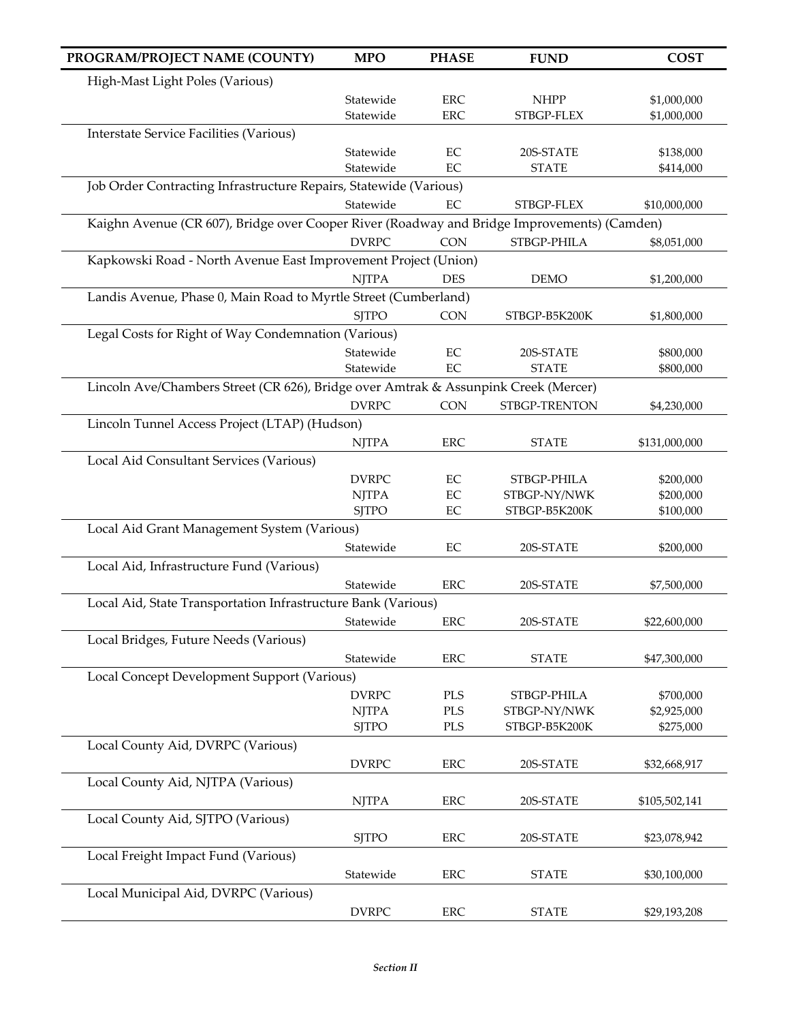| PROGRAM/PROJECT NAME (COUNTY)                                                               | <b>MPO</b>   | <b>PHASE</b> | <b>FUND</b>   | <b>COST</b>   |
|---------------------------------------------------------------------------------------------|--------------|--------------|---------------|---------------|
| High-Mast Light Poles (Various)                                                             |              |              |               |               |
|                                                                                             | Statewide    | <b>ERC</b>   | <b>NHPP</b>   | \$1,000,000   |
|                                                                                             | Statewide    | <b>ERC</b>   | STBGP-FLEX    | \$1,000,000   |
| <b>Interstate Service Facilities (Various)</b>                                              |              |              |               |               |
|                                                                                             | Statewide    | EC           | 20S-STATE     | \$138,000     |
|                                                                                             | Statewide    | EC           | <b>STATE</b>  | \$414,000     |
| Job Order Contracting Infrastructure Repairs, Statewide (Various)                           |              |              |               |               |
|                                                                                             | Statewide    | $\rm EC$     | STBGP-FLEX    | \$10,000,000  |
| Kaighn Avenue (CR 607), Bridge over Cooper River (Roadway and Bridge Improvements) (Camden) |              |              |               |               |
|                                                                                             | <b>DVRPC</b> | <b>CON</b>   | STBGP-PHILA   | \$8,051,000   |
| Kapkowski Road - North Avenue East Improvement Project (Union)                              |              |              |               |               |
|                                                                                             | <b>NJTPA</b> | <b>DES</b>   | <b>DEMO</b>   | \$1,200,000   |
| Landis Avenue, Phase 0, Main Road to Myrtle Street (Cumberland)                             |              |              |               |               |
|                                                                                             | <b>SJTPO</b> | <b>CON</b>   | STBGP-B5K200K | \$1,800,000   |
| Legal Costs for Right of Way Condemnation (Various)                                         |              |              |               |               |
|                                                                                             | Statewide    | EC           | 20S-STATE     | \$800,000     |
|                                                                                             | Statewide    | EC           | <b>STATE</b>  | \$800,000     |
| Lincoln Ave/Chambers Street (CR 626), Bridge over Amtrak & Assunpink Creek (Mercer)         |              |              |               |               |
|                                                                                             | <b>DVRPC</b> | <b>CON</b>   | STBGP-TRENTON | \$4,230,000   |
| Lincoln Tunnel Access Project (LTAP) (Hudson)                                               |              |              |               |               |
|                                                                                             | <b>NJTPA</b> | <b>ERC</b>   | <b>STATE</b>  | \$131,000,000 |
| Local Aid Consultant Services (Various)                                                     |              |              |               |               |
|                                                                                             | <b>DVRPC</b> | $\rm EC$     | STBGP-PHILA   | \$200,000     |
|                                                                                             | <b>NJTPA</b> | EC           | STBGP-NY/NWK  | \$200,000     |
|                                                                                             | <b>SJTPO</b> | EC           | STBGP-B5K200K | \$100,000     |
| Local Aid Grant Management System (Various)                                                 |              |              |               |               |
|                                                                                             | Statewide    | EC           | 20S-STATE     | \$200,000     |
| Local Aid, Infrastructure Fund (Various)                                                    |              |              |               |               |
|                                                                                             | Statewide    | <b>ERC</b>   | 20S-STATE     | \$7,500,000   |
| Local Aid, State Transportation Infrastructure Bank (Various)                               |              |              |               |               |
|                                                                                             | Statewide    | ERC          | 20S-STATE     | \$22,600,000  |
| Local Bridges, Future Needs (Various)                                                       |              |              |               |               |
|                                                                                             | Statewide    | <b>ERC</b>   | <b>STATE</b>  | \$47,300,000  |
| Local Concept Development Support (Various)                                                 |              |              |               |               |
|                                                                                             | <b>DVRPC</b> | PLS          | STBGP-PHILA   | \$700,000     |
|                                                                                             | <b>NJTPA</b> | <b>PLS</b>   | STBGP-NY/NWK  | \$2,925,000   |
|                                                                                             | <b>SJTPO</b> | $\rm PLS$    | STBGP-B5K200K | \$275,000     |
| Local County Aid, DVRPC (Various)                                                           |              |              |               |               |
|                                                                                             | <b>DVRPC</b> | <b>ERC</b>   | 20S-STATE     | \$32,668,917  |
| Local County Aid, NJTPA (Various)                                                           |              |              |               |               |
|                                                                                             | <b>NJTPA</b> | <b>ERC</b>   | 20S-STATE     | \$105,502,141 |
| Local County Aid, SJTPO (Various)                                                           |              |              |               |               |
|                                                                                             | <b>SJTPO</b> | <b>ERC</b>   | 20S-STATE     | \$23,078,942  |
| Local Freight Impact Fund (Various)                                                         |              |              |               |               |
|                                                                                             | Statewide    | ERC          | <b>STATE</b>  | \$30,100,000  |
| Local Municipal Aid, DVRPC (Various)                                                        |              |              |               |               |
|                                                                                             | <b>DVRPC</b> | ERC          | <b>STATE</b>  | \$29,193,208  |
|                                                                                             |              |              |               |               |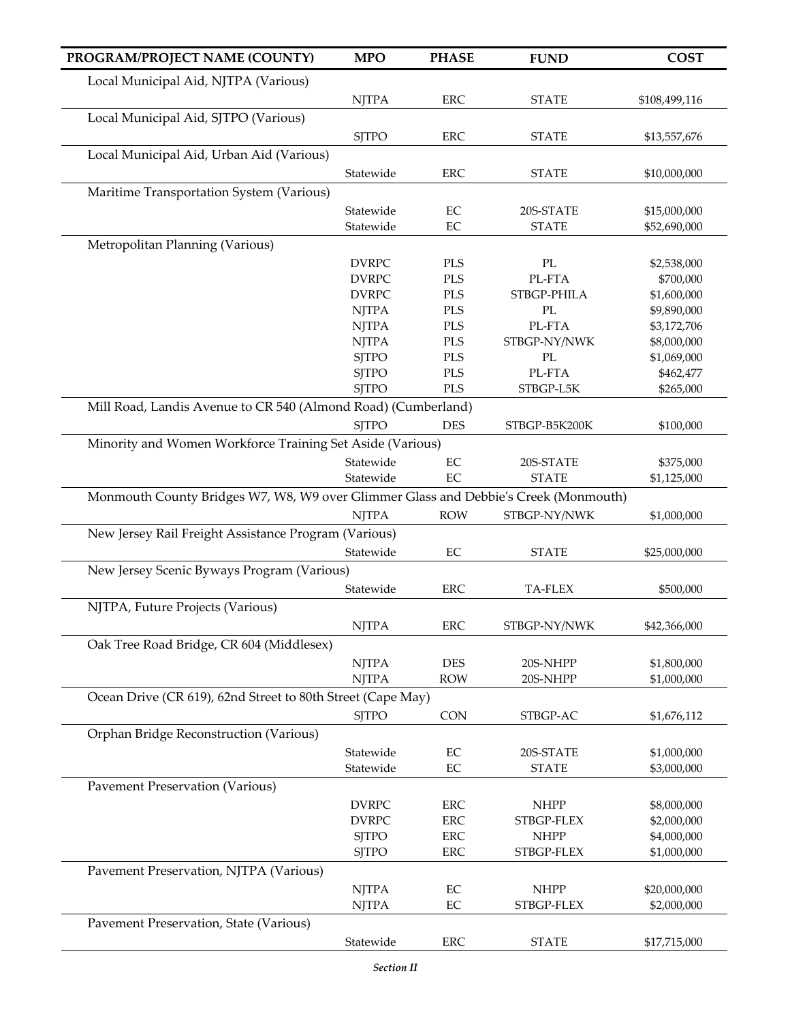| PROGRAM/PROJECT NAME (COUNTY)                                                       | <b>MPO</b>                   | <b>PHASE</b>             | <b>FUND</b>               | <b>COST</b>                |
|-------------------------------------------------------------------------------------|------------------------------|--------------------------|---------------------------|----------------------------|
| Local Municipal Aid, NJTPA (Various)                                                |                              |                          |                           |                            |
|                                                                                     | <b>NJTPA</b>                 | ERC                      | <b>STATE</b>              | \$108,499,116              |
| Local Municipal Aid, SJTPO (Various)                                                |                              |                          |                           |                            |
|                                                                                     | <b>SJTPO</b>                 | <b>ERC</b>               | <b>STATE</b>              | \$13,557,676               |
| Local Municipal Aid, Urban Aid (Various)                                            |                              |                          |                           |                            |
|                                                                                     | Statewide                    | <b>ERC</b>               | <b>STATE</b>              | \$10,000,000               |
| Maritime Transportation System (Various)                                            |                              |                          |                           |                            |
|                                                                                     | Statewide                    | EC                       | 20S-STATE                 | \$15,000,000               |
|                                                                                     | Statewide                    | $\rm EC$                 | <b>STATE</b>              | \$52,690,000               |
| Metropolitan Planning (Various)                                                     |                              |                          |                           |                            |
|                                                                                     | <b>DVRPC</b>                 | <b>PLS</b>               | $\rm PL$                  | \$2,538,000                |
|                                                                                     | <b>DVRPC</b>                 | <b>PLS</b>               | PL-FTA                    | \$700,000                  |
|                                                                                     | <b>DVRPC</b>                 | <b>PLS</b>               | STBGP-PHILA               | \$1,600,000                |
|                                                                                     | <b>NJTPA</b>                 | <b>PLS</b>               | $\rm PL$                  | \$9,890,000                |
|                                                                                     | <b>NJTPA</b>                 | <b>PLS</b>               | PL-FTA                    | \$3,172,706                |
|                                                                                     | <b>NJTPA</b>                 | <b>PLS</b>               | STBGP-NY/NWK              | \$8,000,000                |
|                                                                                     | <b>SJTPO</b><br><b>SJTPO</b> | <b>PLS</b><br><b>PLS</b> | PL<br>PL-FTA              | \$1,069,000<br>\$462,477   |
|                                                                                     | <b>SJTPO</b>                 | <b>PLS</b>               | STBGP-L5K                 | \$265,000                  |
| Mill Road, Landis Avenue to CR 540 (Almond Road) (Cumberland)                       |                              |                          |                           |                            |
|                                                                                     | <b>SJTPO</b>                 | <b>DES</b>               | STBGP-B5K200K             | \$100,000                  |
| Minority and Women Workforce Training Set Aside (Various)                           |                              |                          |                           |                            |
|                                                                                     | Statewide                    | $\rm EC$                 | 20S-STATE                 |                            |
|                                                                                     | Statewide                    | $\rm EC$                 | <b>STATE</b>              | \$375,000<br>\$1,125,000   |
| Monmouth County Bridges W7, W8, W9 over Glimmer Glass and Debbie's Creek (Monmouth) |                              |                          |                           |                            |
|                                                                                     | <b>NJTPA</b>                 | <b>ROW</b>               | STBGP-NY/NWK              | \$1,000,000                |
| New Jersey Rail Freight Assistance Program (Various)                                |                              |                          |                           |                            |
|                                                                                     | Statewide                    | $\rm EC$                 | <b>STATE</b>              | \$25,000,000               |
| New Jersey Scenic Byways Program (Various)                                          |                              |                          |                           |                            |
|                                                                                     | Statewide                    | <b>ERC</b>               | TA-FLEX                   | \$500,000                  |
|                                                                                     |                              |                          |                           |                            |
| NJTPA, Future Projects (Various)                                                    |                              |                          |                           |                            |
|                                                                                     | <b>NJTPA</b>                 | ERC                      | STBGP-NY/NWK              | \$42,366,000               |
| Oak Tree Road Bridge, CR 604 (Middlesex)                                            |                              |                          |                           |                            |
|                                                                                     | <b>NJTPA</b>                 | <b>DES</b>               | 20S-NHPP                  | \$1,800,000                |
| Ocean Drive (CR 619), 62nd Street to 80th Street (Cape May)                         | <b>NJTPA</b>                 | <b>ROW</b>               | 20S-NHPP                  | \$1,000,000                |
|                                                                                     |                              |                          |                           |                            |
|                                                                                     | <b>SJTPO</b>                 | <b>CON</b>               | STBGP-AC                  | \$1,676,112                |
| Orphan Bridge Reconstruction (Various)                                              |                              |                          |                           |                            |
|                                                                                     | Statewide<br>Statewide       | $\rm EC$<br>$\rm EC$     | 20S-STATE<br><b>STATE</b> | \$1,000,000                |
|                                                                                     |                              |                          |                           | \$3,000,000                |
| <b>Pavement Preservation (Various)</b>                                              |                              |                          |                           |                            |
|                                                                                     | <b>DVRPC</b><br><b>DVRPC</b> | ERC<br>ERC               | <b>NHPP</b><br>STBGP-FLEX | \$8,000,000<br>\$2,000,000 |
|                                                                                     | <b>SJTPO</b>                 | ERC                      | <b>NHPP</b>               | \$4,000,000                |
|                                                                                     | <b>SJTPO</b>                 | ERC                      | STBGP-FLEX                | \$1,000,000                |
| Pavement Preservation, NJTPA (Various)                                              |                              |                          |                           |                            |
|                                                                                     | <b>NJTPA</b>                 | EC                       | <b>NHPP</b>               | \$20,000,000               |
|                                                                                     | <b>NJTPA</b>                 | $\rm EC$                 | STBGP-FLEX                | \$2,000,000                |
| Pavement Preservation, State (Various)                                              |                              |                          |                           |                            |
|                                                                                     | Statewide                    | ERC                      | <b>STATE</b>              | \$17,715,000               |
|                                                                                     |                              |                          |                           |                            |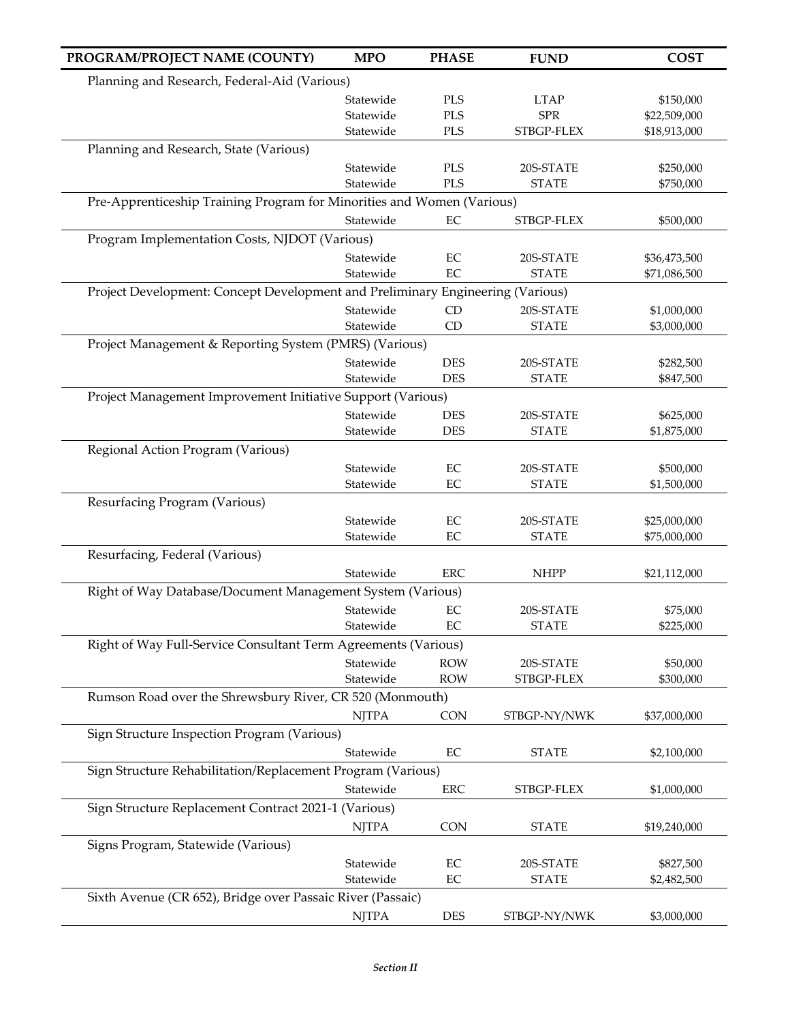| PROGRAM/PROJECT NAME (COUNTY)                                                  | <b>MPO</b>             | <b>PHASE</b> | <b>FUND</b>               | <b>COST</b>                  |
|--------------------------------------------------------------------------------|------------------------|--------------|---------------------------|------------------------------|
| Planning and Research, Federal-Aid (Various)                                   |                        |              |                           |                              |
|                                                                                | Statewide              | PLS          | <b>LTAP</b>               | \$150,000                    |
|                                                                                | Statewide              | <b>PLS</b>   | <b>SPR</b>                | \$22,509,000                 |
|                                                                                | Statewide              | <b>PLS</b>   | STBGP-FLEX                | \$18,913,000                 |
| Planning and Research, State (Various)                                         |                        |              |                           |                              |
|                                                                                | Statewide              | PLS          | 20S-STATE                 | \$250,000                    |
|                                                                                | Statewide              | <b>PLS</b>   | <b>STATE</b>              | \$750,000                    |
| Pre-Apprenticeship Training Program for Minorities and Women (Various)         |                        |              |                           |                              |
|                                                                                | Statewide              | EC           | STBGP-FLEX                | \$500,000                    |
| Program Implementation Costs, NJDOT (Various)                                  |                        |              |                           |                              |
|                                                                                | Statewide<br>Statewide | EC<br>EC     | 20S-STATE<br><b>STATE</b> | \$36,473,500<br>\$71,086,500 |
| Project Development: Concept Development and Preliminary Engineering (Various) |                        |              |                           |                              |
|                                                                                | Statewide              | <b>CD</b>    | 20S-STATE                 | \$1,000,000                  |
|                                                                                | Statewide              | CD           | <b>STATE</b>              | \$3,000,000                  |
| Project Management & Reporting System (PMRS) (Various)                         |                        |              |                           |                              |
|                                                                                | Statewide              | <b>DES</b>   | 20S-STATE                 | \$282,500                    |
|                                                                                | Statewide              | <b>DES</b>   | <b>STATE</b>              | \$847,500                    |
| Project Management Improvement Initiative Support (Various)                    |                        |              |                           |                              |
|                                                                                | Statewide              | <b>DES</b>   | 20S-STATE                 | \$625,000                    |
|                                                                                | Statewide              | <b>DES</b>   | <b>STATE</b>              | \$1,875,000                  |
| Regional Action Program (Various)                                              |                        |              |                           |                              |
|                                                                                | Statewide              | $\rm EC$     | 20S-STATE                 | \$500,000                    |
|                                                                                | Statewide              | EC           | <b>STATE</b>              | \$1,500,000                  |
| Resurfacing Program (Various)                                                  |                        |              |                           |                              |
|                                                                                | Statewide              | EC           | 20S-STATE                 | \$25,000,000                 |
|                                                                                | Statewide              | EC           | <b>STATE</b>              | \$75,000,000                 |
| Resurfacing, Federal (Various)                                                 |                        |              |                           |                              |
| Right of Way Database/Document Management System (Various)                     | Statewide              | ${\rm ERC}$  | <b>NHPP</b>               | \$21,112,000                 |
|                                                                                | Statewide              | EC           | 20S-STATE                 | \$75,000                     |
|                                                                                | Statewide              | $\rm EC$     | <b>STATE</b>              | \$225,000                    |
| Right of Way Full-Service Consultant Term Agreements (Various)                 |                        |              |                           |                              |
|                                                                                | Statewide              | <b>ROW</b>   | 20S-STATE                 | \$50,000                     |
|                                                                                | Statewide              | <b>ROW</b>   | STBGP-FLEX                | \$300,000                    |
| Rumson Road over the Shrewsbury River, CR 520 (Monmouth)                       |                        |              |                           |                              |
|                                                                                | <b>NJTPA</b>           | <b>CON</b>   | STBGP-NY/NWK              | \$37,000,000                 |
| Sign Structure Inspection Program (Various)                                    |                        |              |                           |                              |
|                                                                                | Statewide              | EC           | <b>STATE</b>              | \$2,100,000                  |
| Sign Structure Rehabilitation/Replacement Program (Various)                    |                        |              |                           |                              |
|                                                                                | Statewide              | ${\rm ERC}$  | STBGP-FLEX                | \$1,000,000                  |
| Sign Structure Replacement Contract 2021-1 (Various)                           |                        |              |                           |                              |
|                                                                                | <b>NJTPA</b>           | CON          | <b>STATE</b>              | \$19,240,000                 |
| Signs Program, Statewide (Various)                                             |                        |              |                           |                              |
|                                                                                | Statewide              | EC           | 20S-STATE                 | \$827,500                    |
|                                                                                | Statewide              | $\rm EC$     | <b>STATE</b>              | \$2,482,500                  |
| Sixth Avenue (CR 652), Bridge over Passaic River (Passaic)                     |                        |              |                           |                              |
|                                                                                | <b>NJTPA</b>           | DES          | STBGP-NY/NWK              | \$3,000,000                  |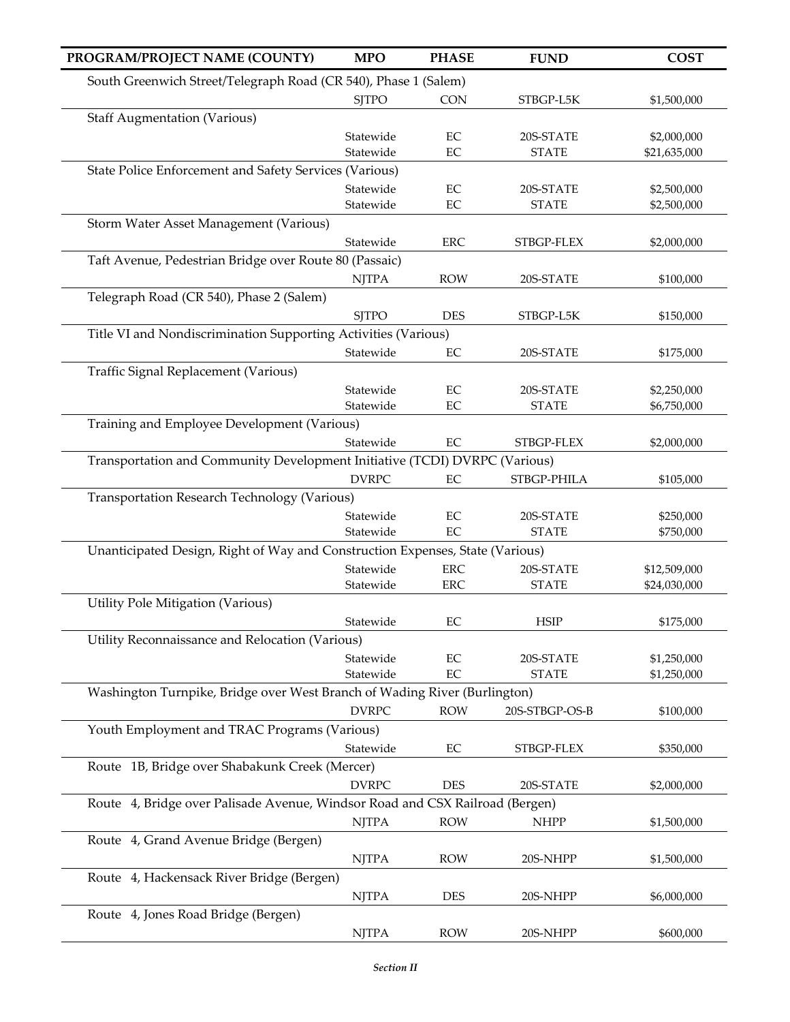| PROGRAM/PROJECT NAME (COUNTY)                                                 | <b>MPO</b>   | <b>PHASE</b> | <b>FUND</b>    | <b>COST</b>  |
|-------------------------------------------------------------------------------|--------------|--------------|----------------|--------------|
| South Greenwich Street/Telegraph Road (CR 540), Phase 1 (Salem)               |              |              |                |              |
|                                                                               | <b>SJTPO</b> | <b>CON</b>   | STBGP-L5K      | \$1,500,000  |
| <b>Staff Augmentation (Various)</b>                                           |              |              |                |              |
|                                                                               | Statewide    | EC           | 20S-STATE      | \$2,000,000  |
|                                                                               | Statewide    | EC           | <b>STATE</b>   | \$21,635,000 |
| State Police Enforcement and Safety Services (Various)                        |              |              |                |              |
|                                                                               | Statewide    | EC           | 20S-STATE      | \$2,500,000  |
|                                                                               | Statewide    | EC           | <b>STATE</b>   | \$2,500,000  |
| Storm Water Asset Management (Various)                                        |              |              |                |              |
|                                                                               | Statewide    | <b>ERC</b>   | STBGP-FLEX     | \$2,000,000  |
| Taft Avenue, Pedestrian Bridge over Route 80 (Passaic)                        |              |              |                |              |
|                                                                               | <b>NJTPA</b> | <b>ROW</b>   | 20S-STATE      | \$100,000    |
| Telegraph Road (CR 540), Phase 2 (Salem)                                      |              |              |                |              |
|                                                                               | <b>SJTPO</b> | <b>DES</b>   | STBGP-L5K      | \$150,000    |
| Title VI and Nondiscrimination Supporting Activities (Various)                |              |              |                |              |
|                                                                               | Statewide    | EC           | 20S-STATE      | \$175,000    |
| Traffic Signal Replacement (Various)                                          |              |              |                |              |
|                                                                               | Statewide    | EC           | 20S-STATE      | \$2,250,000  |
|                                                                               | Statewide    | EC           | <b>STATE</b>   | \$6,750,000  |
| Training and Employee Development (Various)                                   | Statewide    |              |                |              |
|                                                                               |              | EC           | STBGP-FLEX     | \$2,000,000  |
| Transportation and Community Development Initiative (TCDI) DVRPC (Various)    |              |              |                |              |
| Transportation Research Technology (Various)                                  | <b>DVRPC</b> | EC           | STBGP-PHILA    | \$105,000    |
|                                                                               | Statewide    | $\rm EC$     | 20S-STATE      | \$250,000    |
|                                                                               | Statewide    | EC           | <b>STATE</b>   | \$750,000    |
| Unanticipated Design, Right of Way and Construction Expenses, State (Various) |              |              |                |              |
|                                                                               | Statewide    | ${\rm ERC}$  | 20S-STATE      | \$12,509,000 |
|                                                                               | Statewide    | ERC          | <b>STATE</b>   | \$24,030,000 |
| Utility Pole Mitigation (Various)                                             |              |              |                |              |
|                                                                               | Statewide    | EC           | <b>HSIP</b>    | \$175,000    |
| Utility Reconnaissance and Relocation (Various)                               |              |              |                |              |
|                                                                               | Statewide    | $\rm EC$     | 20S-STATE      | \$1,250,000  |
|                                                                               | Statewide    | EC           | <b>STATE</b>   | \$1,250,000  |
| Washington Turnpike, Bridge over West Branch of Wading River (Burlington)     |              |              |                |              |
|                                                                               | <b>DVRPC</b> | <b>ROW</b>   | 20S-STBGP-OS-B | \$100,000    |
| Youth Employment and TRAC Programs (Various)                                  |              |              |                |              |
|                                                                               | Statewide    | EC           | STBGP-FLEX     | \$350,000    |
| Route 1B, Bridge over Shabakunk Creek (Mercer)                                |              |              |                |              |
|                                                                               | <b>DVRPC</b> | <b>DES</b>   | 20S-STATE      | \$2,000,000  |
| Route 4, Bridge over Palisade Avenue, Windsor Road and CSX Railroad (Bergen)  |              |              |                |              |
|                                                                               | <b>NJTPA</b> | <b>ROW</b>   | <b>NHPP</b>    | \$1,500,000  |
| Route 4, Grand Avenue Bridge (Bergen)                                         |              |              |                |              |
|                                                                               | <b>NJTPA</b> | <b>ROW</b>   | 20S-NHPP       | \$1,500,000  |
| Route 4, Hackensack River Bridge (Bergen)                                     |              |              |                |              |
|                                                                               | <b>NJTPA</b> | <b>DES</b>   | 20S-NHPP       | \$6,000,000  |
| Route 4, Jones Road Bridge (Bergen)                                           |              |              |                |              |
|                                                                               | <b>NJTPA</b> | <b>ROW</b>   | 20S-NHPP       | \$600,000    |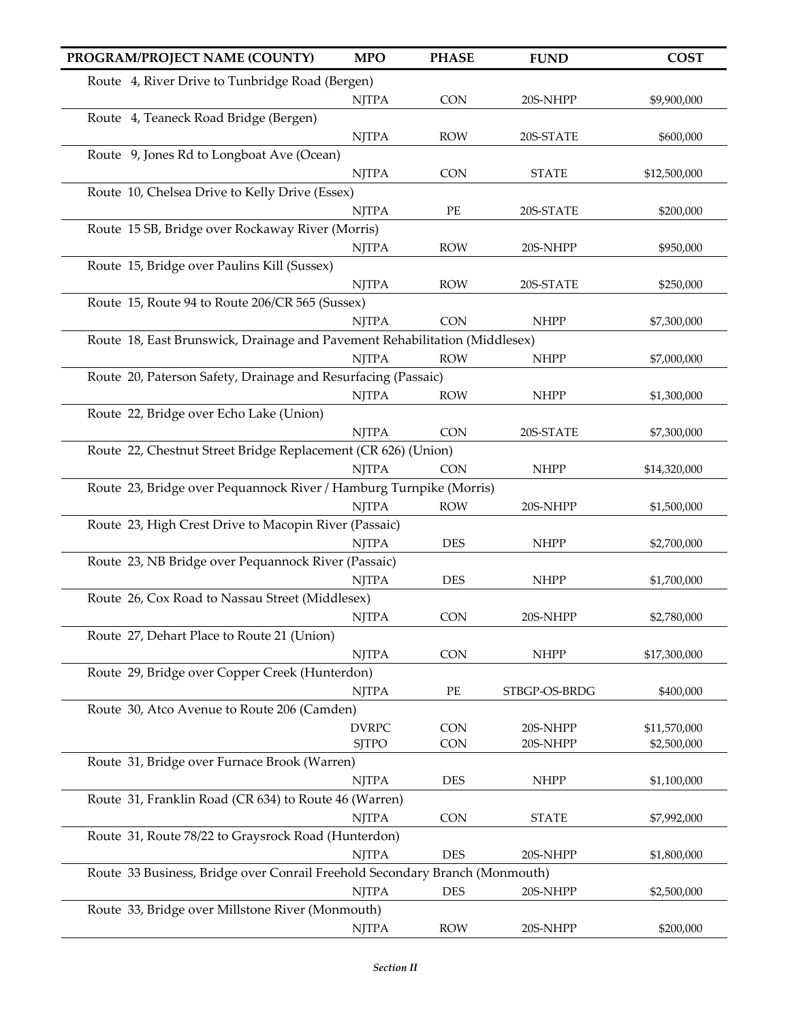| PROGRAM/PROJECT NAME (COUNTY)                                               | <b>MPO</b>   | <b>PHASE</b> | <b>FUND</b>   | <b>COST</b>  |
|-----------------------------------------------------------------------------|--------------|--------------|---------------|--------------|
| Route 4, River Drive to Tunbridge Road (Bergen)                             |              |              |               |              |
|                                                                             | <b>NJTPA</b> | CON          | 20S-NHPP      | \$9,900,000  |
| Route 4, Teaneck Road Bridge (Bergen)                                       |              |              |               |              |
|                                                                             | <b>NJTPA</b> | <b>ROW</b>   | 20S-STATE     | \$600,000    |
| Route 9, Jones Rd to Longboat Ave (Ocean)                                   |              |              |               |              |
|                                                                             | <b>NJTPA</b> | <b>CON</b>   | <b>STATE</b>  | \$12,500,000 |
| Route 10, Chelsea Drive to Kelly Drive (Essex)                              |              |              |               |              |
|                                                                             | <b>NJTPA</b> | PE           | 20S-STATE     | \$200,000    |
| Route 15 SB, Bridge over Rockaway River (Morris)                            |              |              |               |              |
|                                                                             | <b>NJTPA</b> | <b>ROW</b>   | 20S-NHPP      | \$950,000    |
| Route 15, Bridge over Paulins Kill (Sussex)                                 |              |              |               |              |
|                                                                             | <b>NJTPA</b> | <b>ROW</b>   | 20S-STATE     | \$250,000    |
| Route 15, Route 94 to Route 206/CR 565 (Sussex)                             |              |              |               |              |
|                                                                             | <b>NJTPA</b> | <b>CON</b>   | <b>NHPP</b>   | \$7,300,000  |
| Route 18, East Brunswick, Drainage and Pavement Rehabilitation (Middlesex)  |              |              |               |              |
|                                                                             | <b>NJTPA</b> | <b>ROW</b>   | <b>NHPP</b>   | \$7,000,000  |
| Route 20, Paterson Safety, Drainage and Resurfacing (Passaic)               |              |              |               |              |
|                                                                             | <b>NJTPA</b> | <b>ROW</b>   | <b>NHPP</b>   | \$1,300,000  |
| Route 22, Bridge over Echo Lake (Union)                                     |              |              |               |              |
|                                                                             | <b>NJTPA</b> | <b>CON</b>   | 20S-STATE     | \$7,300,000  |
| Route 22, Chestnut Street Bridge Replacement (CR 626) (Union)               |              |              |               |              |
|                                                                             | <b>NJTPA</b> | <b>CON</b>   | <b>NHPP</b>   | \$14,320,000 |
| Route 23, Bridge over Pequannock River / Hamburg Turnpike (Morris)          |              |              |               |              |
|                                                                             | <b>NJTPA</b> | <b>ROW</b>   | 20S-NHPP      | \$1,500,000  |
| Route 23, High Crest Drive to Macopin River (Passaic)                       |              |              |               |              |
|                                                                             | <b>NJTPA</b> | <b>DES</b>   | <b>NHPP</b>   | \$2,700,000  |
| Route 23, NB Bridge over Pequannock River (Passaic)                         |              |              |               |              |
|                                                                             | <b>NJTPA</b> | <b>DES</b>   | <b>NHPP</b>   | \$1,700,000  |
| Route 26, Cox Road to Nassau Street (Middlesex)                             |              |              |               |              |
| Route 27, Dehart Place to Route 21 (Union)                                  | <b>NJTPA</b> | <b>CON</b>   | 20S-NHPP      | \$2,780,000  |
|                                                                             | <b>NJTPA</b> | <b>CON</b>   | <b>NHPP</b>   | \$17,300,000 |
| Route 29, Bridge over Copper Creek (Hunterdon)                              |              |              |               |              |
|                                                                             | <b>NJTPA</b> | PE           | STBGP-OS-BRDG | \$400,000    |
| Route 30, Atco Avenue to Route 206 (Camden)                                 |              |              |               |              |
|                                                                             | <b>DVRPC</b> | CON          | 20S-NHPP      | \$11,570,000 |
|                                                                             | <b>SJTPO</b> | CON          | 20S-NHPP      | \$2,500,000  |
| Route 31, Bridge over Furnace Brook (Warren)                                |              |              |               |              |
|                                                                             | <b>NJTPA</b> | <b>DES</b>   | <b>NHPP</b>   | \$1,100,000  |
| Route 31, Franklin Road (CR 634) to Route 46 (Warren)                       |              |              |               |              |
|                                                                             | <b>NJTPA</b> | CON          | <b>STATE</b>  | \$7,992,000  |
| Route 31, Route 78/22 to Graysrock Road (Hunterdon)                         |              |              |               |              |
|                                                                             | <b>NJTPA</b> | <b>DES</b>   | 20S-NHPP      | \$1,800,000  |
| Route 33 Business, Bridge over Conrail Freehold Secondary Branch (Monmouth) |              |              |               |              |
|                                                                             | <b>NJTPA</b> | <b>DES</b>   | 20S-NHPP      | \$2,500,000  |
| Route 33, Bridge over Millstone River (Monmouth)                            |              |              |               |              |
|                                                                             | <b>NJTPA</b> | <b>ROW</b>   | 20S-NHPP      | \$200,000    |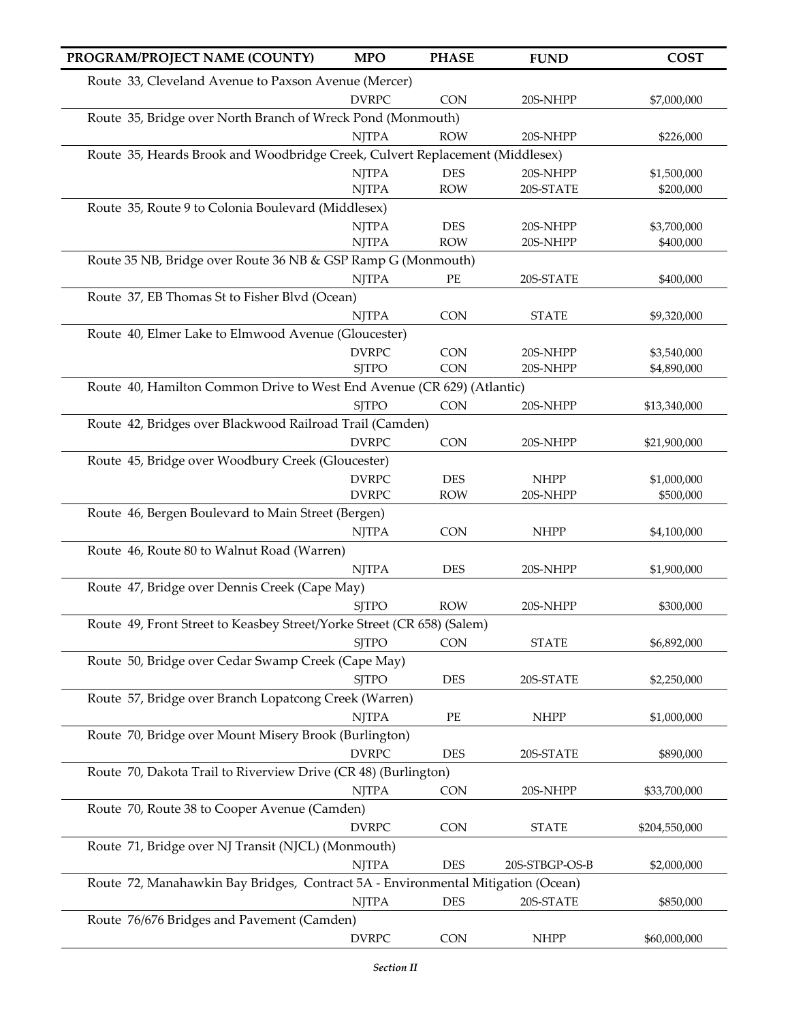| PROGRAM/PROJECT NAME (COUNTY)                                                    | <b>MPO</b>   | <b>PHASE</b> | <b>FUND</b>    | <b>COST</b>   |
|----------------------------------------------------------------------------------|--------------|--------------|----------------|---------------|
| Route 33, Cleveland Avenue to Paxson Avenue (Mercer)                             |              |              |                |               |
|                                                                                  | <b>DVRPC</b> | <b>CON</b>   | 20S-NHPP       | \$7,000,000   |
| Route 35, Bridge over North Branch of Wreck Pond (Monmouth)                      |              |              |                |               |
|                                                                                  | <b>NJTPA</b> | <b>ROW</b>   | 20S-NHPP       | \$226,000     |
| Route 35, Heards Brook and Woodbridge Creek, Culvert Replacement (Middlesex)     |              |              |                |               |
|                                                                                  | <b>NJTPA</b> | <b>DES</b>   | 20S-NHPP       | \$1,500,000   |
|                                                                                  | <b>NJTPA</b> | <b>ROW</b>   | 20S-STATE      | \$200,000     |
| Route 35, Route 9 to Colonia Boulevard (Middlesex)                               |              |              |                |               |
|                                                                                  | <b>NJTPA</b> | <b>DES</b>   | 20S-NHPP       | \$3,700,000   |
| Route 35 NB, Bridge over Route 36 NB & GSP Ramp G (Monmouth)                     | <b>NJTPA</b> | <b>ROW</b>   | 20S-NHPP       | \$400,000     |
|                                                                                  | <b>NJTPA</b> | PE           |                |               |
| Route 37, EB Thomas St to Fisher Blvd (Ocean)                                    |              |              | 20S-STATE      | \$400,000     |
|                                                                                  | <b>NJTPA</b> | <b>CON</b>   | <b>STATE</b>   | \$9,320,000   |
| Route 40, Elmer Lake to Elmwood Avenue (Gloucester)                              |              |              |                |               |
|                                                                                  | <b>DVRPC</b> | <b>CON</b>   | 20S-NHPP       | \$3,540,000   |
|                                                                                  | <b>SJTPO</b> | <b>CON</b>   | 20S-NHPP       | \$4,890,000   |
| Route 40, Hamilton Common Drive to West End Avenue (CR 629) (Atlantic)           |              |              |                |               |
|                                                                                  | <b>SJTPO</b> | <b>CON</b>   | 20S-NHPP       | \$13,340,000  |
| Route 42, Bridges over Blackwood Railroad Trail (Camden)                         |              |              |                |               |
|                                                                                  | <b>DVRPC</b> | <b>CON</b>   | 20S-NHPP       | \$21,900,000  |
| Route 45, Bridge over Woodbury Creek (Gloucester)                                |              |              |                |               |
|                                                                                  | <b>DVRPC</b> | <b>DES</b>   | <b>NHPP</b>    | \$1,000,000   |
|                                                                                  | <b>DVRPC</b> | <b>ROW</b>   | 20S-NHPP       | \$500,000     |
| Route 46, Bergen Boulevard to Main Street (Bergen)                               |              |              |                |               |
|                                                                                  | <b>NJTPA</b> | <b>CON</b>   | <b>NHPP</b>    | \$4,100,000   |
| Route 46, Route 80 to Walnut Road (Warren)                                       |              |              |                |               |
|                                                                                  | <b>NJTPA</b> | <b>DES</b>   | 20S-NHPP       | \$1,900,000   |
| Route 47, Bridge over Dennis Creek (Cape May)                                    |              |              |                |               |
|                                                                                  | <b>SJTPO</b> | <b>ROW</b>   | 20S-NHPP       | \$300,000     |
| Route 49, Front Street to Keasbey Street/Yorke Street (CR 658) (Salem)           | <b>SJTPO</b> | CON          | <b>STATE</b>   | \$6,892,000   |
| Route 50, Bridge over Cedar Swamp Creek (Cape May)                               |              |              |                |               |
|                                                                                  | <b>SJTPO</b> | <b>DES</b>   | 20S-STATE      | \$2,250,000   |
| Route 57, Bridge over Branch Lopatcong Creek (Warren)                            |              |              |                |               |
|                                                                                  | <b>NJTPA</b> | $\rm PE$     | <b>NHPP</b>    | \$1,000,000   |
| Route 70, Bridge over Mount Misery Brook (Burlington)                            |              |              |                |               |
|                                                                                  | <b>DVRPC</b> | <b>DES</b>   | 20S-STATE      | \$890,000     |
| Route 70, Dakota Trail to Riverview Drive (CR 48) (Burlington)                   |              |              |                |               |
|                                                                                  | <b>NJTPA</b> | <b>CON</b>   | 20S-NHPP       | \$33,700,000  |
| Route 70, Route 38 to Cooper Avenue (Camden)                                     |              |              |                |               |
|                                                                                  | <b>DVRPC</b> | <b>CON</b>   | <b>STATE</b>   | \$204,550,000 |
| Route 71, Bridge over NJ Transit (NJCL) (Monmouth)                               |              |              |                |               |
|                                                                                  | <b>NJTPA</b> | <b>DES</b>   | 20S-STBGP-OS-B | \$2,000,000   |
| Route 72, Manahawkin Bay Bridges, Contract 5A - Environmental Mitigation (Ocean) |              |              |                |               |
|                                                                                  | <b>NJTPA</b> | <b>DES</b>   | 20S-STATE      | \$850,000     |
| Route 76/676 Bridges and Pavement (Camden)                                       |              |              |                |               |
|                                                                                  | <b>DVRPC</b> | CON          | <b>NHPP</b>    | \$60,000,000  |